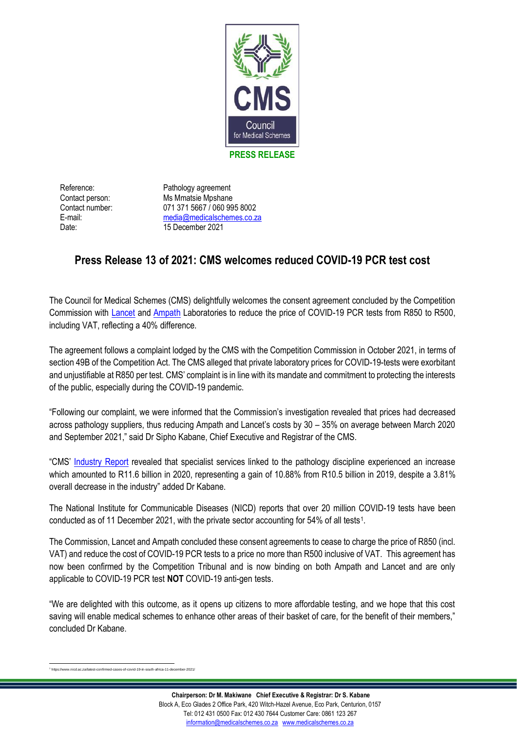

Reference: Pathology agreement Contact person: Ms Mmatsie Mpshane Contact number: 071 371 5667 / 060 995 8002 E-mail: media@medicalschemes.co.za Date: 15 December 2021

## **Press Release 13 of 2021: CMS welcomes reduced COVID-19 PCR test cost**

The Council for Medical Schemes (CMS) delightfully welcomes the consent agreement concluded by the Competition Commission with [Lancet](https://www.medicalschemes.co.za/download/3542/2021-budgets-and-gazettes/25078/public-order-cc-and-lancet-covco141dec21-12122021.pdf) and [Ampath](https://www.medicalschemes.co.za/download/3542/2021-budgets-and-gazettes/25077/public-order-cc-and-ampath-covco140dec21-12122021.pdf) Laboratories to reduce the price of COVID-19 PCR tests from R850 to R500, including VAT, reflecting a 40% difference.

The agreement follows a complaint lodged by the CMS with the Competition Commission in October 2021, in terms of section 49B of the Competition Act. The CMS alleged that private laboratory prices for COVID-19-tests were exorbitant and unjustifiable at R850 per test. CMS' complaint is in line with its mandate and commitment to protecting the interests of the public, especially during the COVID-19 pandemic.

"Following our complaint, we were informed that the Commission's investigation revealed that prices had decreased across pathology suppliers, thus reducing Ampath and Lancet's costs by 30 – 35% on average between March 2020 and September 2021," said Dr Sipho Kabane, Chief Executive and Registrar of the CMS.

"CMS' [Industry Report](https://www.medicalschemes.co.za/download/3611/industry-report-2020-21/24593/cms_industry-report-2020_web.pdf) revealed that specialist services linked to the pathology discipline experienced an increase which amounted to R11.6 billion in 2020, representing a gain of 10.88% from R10.5 billion in 2019, despite a 3.81% overall decrease in the industry" added Dr Kabane.

The National Institute for Communicable Diseases (NICD) reports that over 20 million COVID-19 tests have been conducted as of 11 December 2021, with the private sector accounting for 54% of all tests<sup>1</sup>.

The Commission, Lancet and Ampath concluded these consent agreements to cease to charge the price of R850 (incl. VAT) and reduce the cost of COVID-19 PCR tests to a price no more than R500 inclusive of VAT. This agreement has now been confirmed by the Competition Tribunal and is now binding on both Ampath and Lancet and are only applicable to COVID-19 PCR test **NOT** COVID-19 anti-gen tests.

"We are delighted with this outcome, as it opens up citizens to more affordable testing, and we hope that this cost saving will enable medical schemes to enhance other areas of their basket of care, for the benefit of their members," concluded Dr Kabane.

<sup>1</sup> https://www.nicd.ac.za/latest-confirmed-cases-of-covid-19-in-south-africa-11-december-2021/